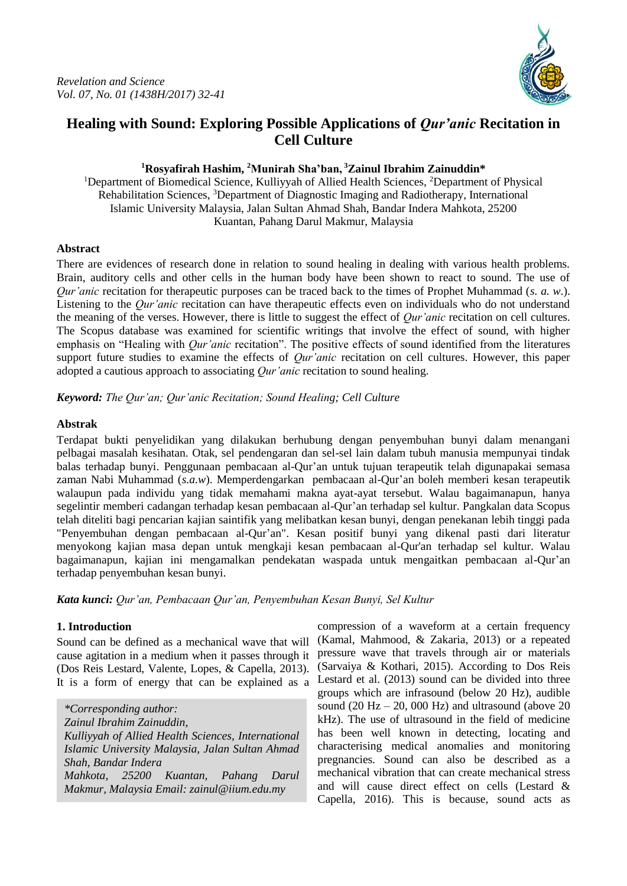

# **Healing with Sound: Exploring Possible Applications of** *Qur'anic* **Recitation in Cell Culture**

#### **<sup>1</sup>Rosyafirah Hashim, <sup>2</sup>Munirah Sha'ban, <sup>3</sup>Zainul Ibrahim Zainuddin\***

<sup>1</sup>Department of Biomedical Science, Kulliyyah of Allied Health Sciences, <sup>2</sup>Department of Physical Rehabilitation Sciences, <sup>3</sup>Department of Diagnostic Imaging and Radiotherapy, International Islamic University Malaysia, Jalan Sultan Ahmad Shah, Bandar Indera Mahkota, 25200 Kuantan, Pahang Darul Makmur, Malaysia

#### **Abstract**

There are evidences of research done in relation to sound healing in dealing with various health problems. Brain, auditory cells and other cells in the human body have been shown to react to sound. The use of *Qur'anic* recitation for therapeutic purposes can be traced back to the times of Prophet Muhammad (*s. a. w*.). Listening to the *Qur'anic* recitation can have therapeutic effects even on individuals who do not understand the meaning of the verses. However, there is little to suggest the effect of *Qur'anic* recitation on cell cultures. The Scopus database was examined for scientific writings that involve the effect of sound, with higher emphasis on "Healing with *Qur'anic* recitation". The positive effects of sound identified from the literatures support future studies to examine the effects of *Qur'anic* recitation on cell cultures. However, this paper adopted a cautious approach to associating *Qur'anic* recitation to sound healing.

*Keyword: The Qur'an; Qur'anic Recitation; Sound Healing; Cell Culture*

#### **Abstrak**

Terdapat bukti penyelidikan yang dilakukan berhubung dengan penyembuhan bunyi dalam menangani pelbagai masalah kesihatan. Otak, sel pendengaran dan sel-sel lain dalam tubuh manusia mempunyai tindak balas terhadap bunyi. Penggunaan pembacaan al-Qur'an untuk tujuan terapeutik telah digunapakai semasa zaman Nabi Muhammad (*s.a.w*). Memperdengarkan pembacaan al-Qur'an boleh memberi kesan terapeutik walaupun pada individu yang tidak memahami makna ayat-ayat tersebut. Walau bagaimanapun, hanya segelintir memberi cadangan terhadap kesan pembacaan al-Qur'an terhadap sel kultur. Pangkalan data Scopus telah diteliti bagi pencarian kajian saintifik yang melibatkan kesan bunyi, dengan penekanan lebih tinggi pada "Penyembuhan dengan pembacaan al-Qur'an". Kesan positif bunyi yang dikenal pasti dari literatur menyokong kajian masa depan untuk mengkaji kesan pembacaan al-Qur'an terhadap sel kultur. Walau bagaimanapun, kajian ini mengamalkan pendekatan waspada untuk mengaitkan pembacaan al-Qur'an terhadap penyembuhan kesan bunyi.

*Kata kunci: Qur'an, Pembacaan Qur'an, Penyembuhan Kesan Bunyi, Sel Kultur*

### **1. Introduction**

Sound can be defined as a mechanical wave that will cause agitation in a medium when it passes through it (Dos Reis Lestard, Valente, Lopes, & Capella, 2013). It is a form of energy that can be explained as a

*\*Corresponding author: Zainul Ibrahim Zainuddin, Kulliyyah of Allied Health Sciences, International Islamic University Malaysia, Jalan Sultan Ahmad Shah, Bandar Indera Mahkota, 25200 Kuantan, Pahang Darul Makmur, Malaysia Email: zainul@iium.edu.my*

compression of a waveform at a certain frequency (Kamal, Mahmood, & Zakaria, 2013) or a repeated pressure wave that travels through air or materials (Sarvaiya & Kothari, 2015). According to Dos Reis Lestard et al. (2013) sound can be divided into three groups which are infrasound (below 20 Hz), audible sound (20 Hz – 20, 000 Hz) and ultrasound (above 20 kHz). The use of ultrasound in the field of medicine has been well known in detecting, locating and characterising medical anomalies and monitoring pregnancies. Sound can also be described as a mechanical vibration that can create mechanical stress and will cause direct effect on cells (Lestard & Capella, 2016). This is because, sound acts as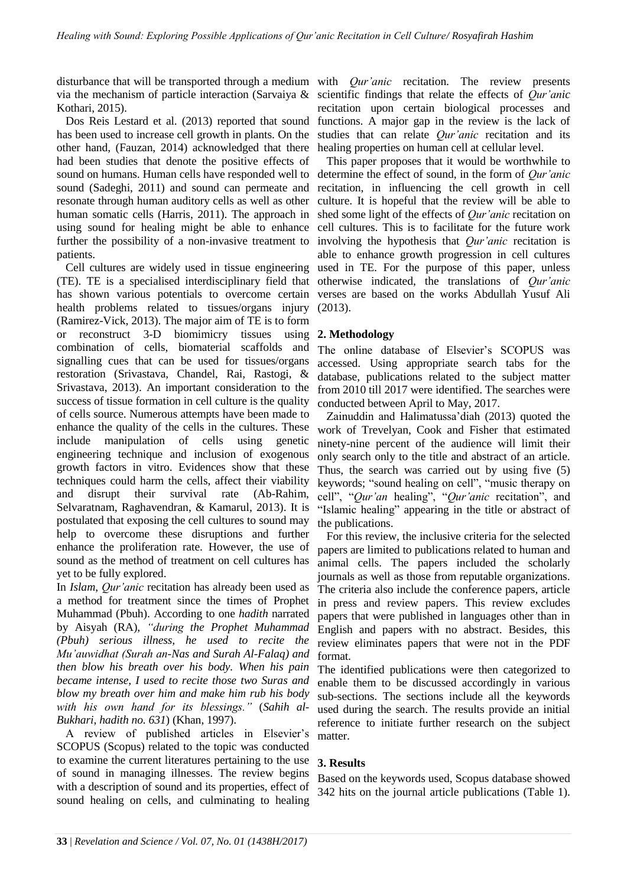disturbance that will be transported through a medium with *Qur'anic* recitation. The review presents via the mechanism of particle interaction (Sarvaiya & Kothari, 2015).

Dos Reis Lestard et al. (2013) reported that sound has been used to increase cell growth in plants. On the other hand, (Fauzan, 2014) acknowledged that there had been studies that denote the positive effects of sound on humans. Human cells have responded well to sound (Sadeghi, 2011) and sound can permeate and resonate through human auditory cells as well as other human somatic cells (Harris, 2011). The approach in using sound for healing might be able to enhance further the possibility of a non-invasive treatment to patients.

Cell cultures are widely used in tissue engineering (TE). TE is a specialised interdisciplinary field that has shown various potentials to overcome certain health problems related to tissues/organs injury (Ramirez-Vick, 2013). The major aim of TE is to form or reconstruct 3-D biomimicry tissues using combination of cells, biomaterial scaffolds and signalling cues that can be used for tissues/organs restoration (Srivastava, Chandel, Rai, Rastogi, & Srivastava, 2013). An important consideration to the success of tissue formation in cell culture is the quality of cells source. Numerous attempts have been made to enhance the quality of the cells in the cultures. These include manipulation of cells using genetic engineering technique and inclusion of exogenous growth factors in vitro. Evidences show that these techniques could harm the cells, affect their viability and disrupt their survival rate (Ab-Rahim, Selvaratnam, Raghavendran, & Kamarul, 2013). It is postulated that exposing the cell cultures to sound may help to overcome these disruptions and further enhance the proliferation rate. However, the use of sound as the method of treatment on cell cultures has yet to be fully explored.

In *Islam*, *Qur'anic* recitation has already been used as a method for treatment since the times of Prophet Muhammad (Pbuh). According to one *hadith* narrated by Aisyah (RA), *"during the Prophet Muhammad (Pbuh) serious illness, he used to recite the Mu'auwidhat (Surah an-Nas and Surah Al-Falaq) and then blow his breath over his body. When his pain became intense, I used to recite those two Suras and blow my breath over him and make him rub his body with his own hand for its blessings."* (*Sahih al-Bukhari*, *hadith no. 631*) (Khan, 1997).

A review of published articles in Elsevier's SCOPUS (Scopus) related to the topic was conducted to examine the current literatures pertaining to the use of sound in managing illnesses. The review begins with a description of sound and its properties, effect of sound healing on cells, and culminating to healing

scientific findings that relate the effects of *Qur'anic* recitation upon certain biological processes and functions. A major gap in the review is the lack of studies that can relate *Qur'anic* recitation and its healing properties on human cell at cellular level.

This paper proposes that it would be worthwhile to determine the effect of sound, in the form of *Qur'anic*  recitation, in influencing the cell growth in cell culture. It is hopeful that the review will be able to shed some light of the effects of *Qur'anic* recitation on cell cultures. This is to facilitate for the future work involving the hypothesis that *Qur'anic* recitation is able to enhance growth progression in cell cultures used in TE. For the purpose of this paper, unless otherwise indicated, the translations of *Qur'anic* verses are based on the works Abdullah Yusuf Ali (2013).

### **2. Methodology**

The online database of Elsevier's SCOPUS was accessed. Using appropriate search tabs for the database, publications related to the subject matter from 2010 till 2017 were identified. The searches were conducted between April to May, 2017.

Zainuddin and Halimatussa'diah (2013) quoted the work of Trevelyan, Cook and Fisher that estimated ninety-nine percent of the audience will limit their only search only to the title and abstract of an article. Thus, the search was carried out by using five (5) keywords; "sound healing on cell", "music therapy on cell", "*Qur'an* healing", "*Qur'anic* recitation", and "Islamic healing" appearing in the title or abstract of the publications.

For this review, the inclusive criteria for the selected papers are limited to publications related to human and animal cells. The papers included the scholarly journals as well as those from reputable organizations. The criteria also include the conference papers, article in press and review papers. This review excludes papers that were published in languages other than in English and papers with no abstract. Besides, this review eliminates papers that were not in the PDF format.

The identified publications were then categorized to enable them to be discussed accordingly in various sub-sections. The sections include all the keywords used during the search. The results provide an initial reference to initiate further research on the subject matter.

### **3. Results**

Based on the keywords used, Scopus database showed 342 hits on the journal article publications (Table 1).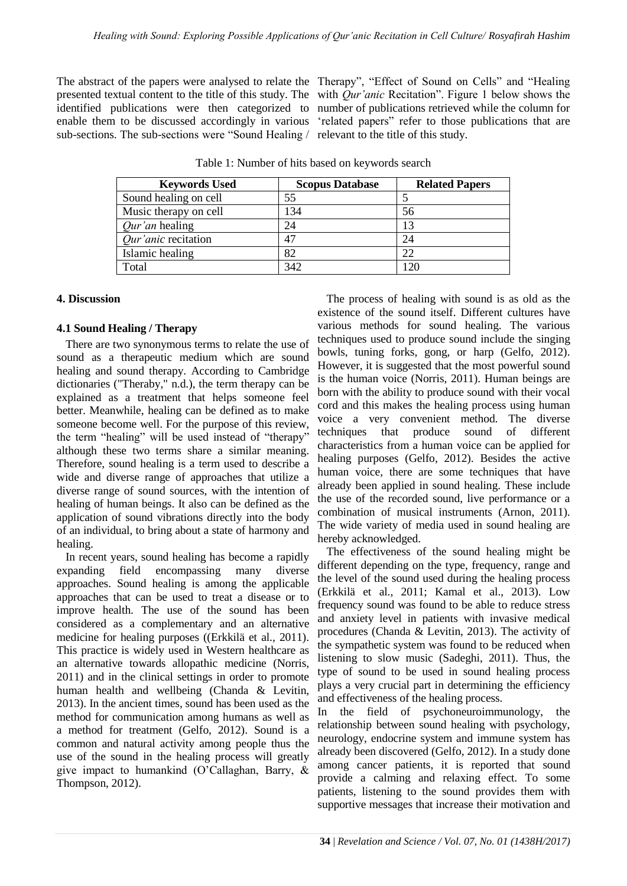sub-sections. The sub-sections were "Sound Healing / relevant to the title of this study.

The abstract of the papers were analysed to relate the Therapy", "Effect of Sound on Cells" and "Healing presented textual content to the title of this study. The with *Qur'anic* Recitation". Figure 1 below shows the identified publications were then categorized to number of publications retrieved while the column for enable them to be discussed accordingly in various 'related papers' refer to those publications that are

| <b>Keywords Used</b>       | <b>Scopus Database</b> | <b>Related Papers</b> |
|----------------------------|------------------------|-----------------------|
| Sound healing on cell      | 55                     |                       |
| Music therapy on cell      | 134                    | 56                    |
| <i>Our'an</i> healing      | 24                     | 13                    |
| <i>Our'anic</i> recitation | 47                     | 24                    |
| Islamic healing            | 82                     | 22                    |
| Total                      | 342                    | 120                   |

Table 1: Number of hits based on keywords search

#### **4. Discussion**

#### **4.1 Sound Healing / Therapy**

There are two synonymous terms to relate the use of sound as a therapeutic medium which are sound healing and sound therapy. According to Cambridge dictionaries ("Theraby," n.d.), the term therapy can be explained as a treatment that helps someone feel better. Meanwhile, healing can be defined as to make someone become well. For the purpose of this review, the term "healing" will be used instead of "therapy" although these two terms share a similar meaning. Therefore, sound healing is a term used to describe a wide and diverse range of approaches that utilize a diverse range of sound sources, with the intention of healing of human beings. It also can be defined as the application of sound vibrations directly into the body of an individual, to bring about a state of harmony and healing.

In recent years, sound healing has become a rapidly expanding field encompassing many diverse approaches. Sound healing is among the applicable approaches that can be used to treat a disease or to improve health. The use of the sound has been considered as a complementary and an alternative medicine for healing purposes ((Erkkilä et al., 2011). This practice is widely used in Western healthcare as an alternative towards allopathic medicine (Norris, 2011) and in the clinical settings in order to promote human health and wellbeing (Chanda & Levitin, 2013). In the ancient times, sound has been used as the method for communication among humans as well as a method for treatment (Gelfo, 2012). Sound is a common and natural activity among people thus the use of the sound in the healing process will greatly give impact to humankind (O'Callaghan, Barry, & Thompson, 2012).

The process of healing with sound is as old as the existence of the sound itself. Different cultures have various methods for sound healing. The various techniques used to produce sound include the singing bowls, tuning forks, gong, or harp (Gelfo, 2012). However, it is suggested that the most powerful sound is the human voice (Norris, 2011). Human beings are born with the ability to produce sound with their vocal cord and this makes the healing process using human voice a very convenient method. The diverse techniques that produce sound of different characteristics from a human voice can be applied for healing purposes (Gelfo, 2012). Besides the active human voice, there are some techniques that have already been applied in sound healing. These include the use of the recorded sound, live performance or a combination of musical instruments (Arnon, 2011). The wide variety of media used in sound healing are hereby acknowledged.

The effectiveness of the sound healing might be different depending on the type, frequency, range and the level of the sound used during the healing process (Erkkilä et al., 2011; Kamal et al., 2013). Low frequency sound was found to be able to reduce stress and anxiety level in patients with invasive medical procedures (Chanda & Levitin, 2013). The activity of the sympathetic system was found to be reduced when listening to slow music (Sadeghi, 2011). Thus, the type of sound to be used in sound healing process plays a very crucial part in determining the efficiency and effectiveness of the healing process.

In the field of psychoneuroimmunology, the relationship between sound healing with psychology, neurology, endocrine system and immune system has already been discovered (Gelfo, 2012). In a study done among cancer patients, it is reported that sound provide a calming and relaxing effect. To some patients, listening to the sound provides them with supportive messages that increase their motivation and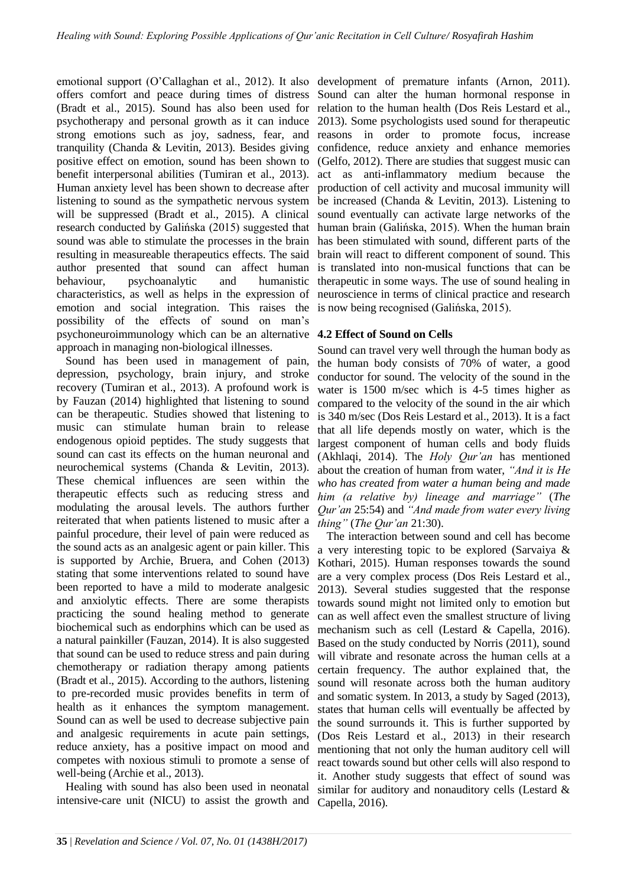emotional support (O'Callaghan et al., 2012). It also development of premature infants (Arnon, 2011). offers comfort and peace during times of distress (Bradt et al., 2015). Sound has also been used for psychotherapy and personal growth as it can induce strong emotions such as joy, sadness, fear, and tranquility (Chanda & Levitin, 2013). Besides giving positive effect on emotion, sound has been shown to benefit interpersonal abilities (Tumiran et al., 2013). Human anxiety level has been shown to decrease after listening to sound as the sympathetic nervous system will be suppressed (Bradt et al., 2015). A clinical research conducted by Galińska (2015) suggested that sound was able to stimulate the processes in the brain resulting in measureable therapeutics effects. The said author presented that sound can affect human behaviour, psychoanalytic and humanistic characteristics, as well as helps in the expression of emotion and social integration. This raises the possibility of the effects of sound on man's psychoneuroimmunology which can be an alternative **4.2 Effect of Sound on Cells**  approach in managing non-biological illnesses.

Sound has been used in management of pain, depression, psychology, brain injury, and stroke recovery (Tumiran et al., 2013). A profound work is by Fauzan (2014) highlighted that listening to sound can be therapeutic. Studies showed that listening to music can stimulate human brain to release endogenous opioid peptides. The study suggests that sound can cast its effects on the human neuronal and neurochemical systems (Chanda & Levitin, 2013). These chemical influences are seen within the therapeutic effects such as reducing stress and modulating the arousal levels. The authors further reiterated that when patients listened to music after a painful procedure, their level of pain were reduced as the sound acts as an analgesic agent or pain killer. This is supported by Archie, Bruera, and Cohen (2013) stating that some interventions related to sound have been reported to have a mild to moderate analgesic and anxiolytic effects. There are some therapists practicing the sound healing method to generate biochemical such as endorphins which can be used as a natural painkiller (Fauzan, 2014). It is also suggested that sound can be used to reduce stress and pain during chemotherapy or radiation therapy among patients (Bradt et al., 2015). According to the authors, listening to pre-recorded music provides benefits in term of health as it enhances the symptom management. Sound can as well be used to decrease subjective pain and analgesic requirements in acute pain settings, reduce anxiety, has a positive impact on mood and competes with noxious stimuli to promote a sense of well-being (Archie et al., 2013).

Healing with sound has also been used in neonatal intensive-care unit (NICU) to assist the growth and

Sound can alter the human hormonal response in relation to the human health (Dos Reis Lestard et al., 2013). Some psychologists used sound for therapeutic reasons in order to promote focus, increase confidence, reduce anxiety and enhance memories (Gelfo, 2012). There are studies that suggest music can act as anti-inflammatory medium because the production of cell activity and mucosal immunity will be increased (Chanda & Levitin, 2013). Listening to sound eventually can activate large networks of the human brain (Galińska, 2015). When the human brain has been stimulated with sound, different parts of the brain will react to different component of sound. This is translated into non-musical functions that can be therapeutic in some ways. The use of sound healing in neuroscience in terms of clinical practice and research is now being recognised (Galińska, 2015).

Sound can travel very well through the human body as the human body consists of 70% of water, a good conductor for sound. The velocity of the sound in the water is 1500 m/sec which is 4-5 times higher as compared to the velocity of the sound in the air which is 340 m/sec (Dos Reis Lestard et al., 2013). It is a fact that all life depends mostly on water, which is the largest component of human cells and body fluids (Akhlaqi, 2014). The *Holy Qur'an* has mentioned about the creation of human from water, *"And it is He who has created from water a human being and made him (a relative by) lineage and marriage"* (*The Qur'an* 25:54) and *"And made from water every living thing"* (*The Qur'an* 21:30).

The interaction between sound and cell has become a very interesting topic to be explored (Sarvaiya & Kothari, 2015). Human responses towards the sound are a very complex process (Dos Reis Lestard et al., 2013). Several studies suggested that the response towards sound might not limited only to emotion but can as well affect even the smallest structure of living mechanism such as cell (Lestard & Capella, 2016). Based on the study conducted by Norris (2011), sound will vibrate and resonate across the human cells at a certain frequency. The author explained that, the sound will resonate across both the human auditory and somatic system. In 2013, a study by Saged (2013), states that human cells will eventually be affected by the sound surrounds it. This is further supported by (Dos Reis Lestard et al., 2013) in their research mentioning that not only the human auditory cell will react towards sound but other cells will also respond to it. Another study suggests that effect of sound was similar for auditory and nonauditory cells (Lestard & Capella, 2016).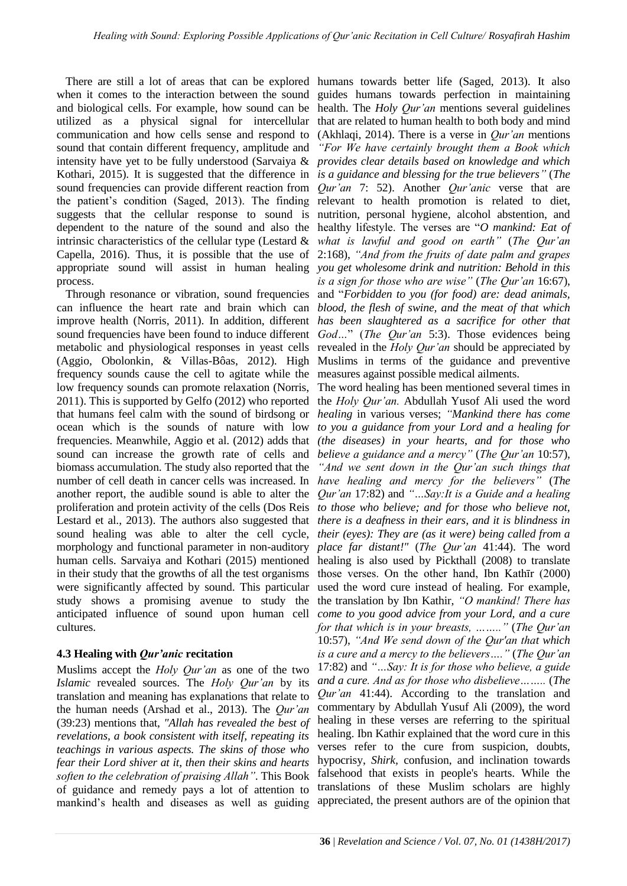when it comes to the interaction between the sound guides humans towards perfection in maintaining and biological cells. For example, how sound can be health. The *Holy Qur'an* mentions several guidelines utilized as a physical signal for intercellular that are related to human health to both body and mind communication and how cells sense and respond to sound that contain different frequency, amplitude and intensity have yet to be fully understood (Sarvaiya & *provides clear details based on knowledge and which*  Kothari, 2015). It is suggested that the difference in *is a guidance and blessing for the true believers"* (*The*  sound frequencies can provide different reaction from *Qur'an 7*: 52). Another *Qur'anic* verse that are the patient's condition (Saged, 2013). The finding relevant to health promotion is related to diet, suggests that the cellular response to sound is nutrition, personal hygiene, alcohol abstention, and dependent to the nature of the sound and also the healthy lifestyle. The verses are "*O mankind: Eat of*  intrinsic characteristics of the cellular type (Lestard & *what is lawful and good on earth"* (*The Qur'an* Capella, 2016). Thus, it is possible that the use of 2:168), *"And from the fruits of date palm and grapes*  appropriate sound will assist in human healing *you get wholesome drink and nutrition: Behold in this*  process.

Through resonance or vibration, sound frequencies can influence the heart rate and brain which can *blood, the flesh of swine, and the meat of that which*  improve health (Norris, 2011). In addition, different *has been slaughtered as a sacrifice for other that*  sound frequencies have been found to induce different *God…*" (*The Qur'an* 5:3). Those evidences being metabolic and physiological responses in yeast cells revealed in the *Holy Qur'an* should be appreciated by (Aggio, Obolonkin, & Villas-Bôas, 2012). High frequency sounds cause the cell to agitate while the low frequency sounds can promote relaxation (Norris, 2011). This is supported by Gelfo (2012) who reported that humans feel calm with the sound of birdsong or ocean which is the sounds of nature with low frequencies. Meanwhile, Aggio et al. (2012) adds that sound can increase the growth rate of cells and biomass accumulation. The study also reported that the number of cell death in cancer cells was increased. In another report, the audible sound is able to alter the proliferation and protein activity of the cells (Dos Reis Lestard et al., 2013). The authors also suggested that sound healing was able to alter the cell cycle, morphology and functional parameter in non-auditory human cells. Sarvaiya and Kothari (2015) mentioned in their study that the growths of all the test organisms were significantly affected by sound. This particular study shows a promising avenue to study the anticipated influence of sound upon human cell cultures.

## **4.3 Healing with** *Qur'anic* **recitation**

Muslims accept the *Holy Qur'an* as one of the two *Islamic* revealed sources. The *Holy Qur'an* by its translation and meaning has explanations that relate to the human needs (Arshad et al., 2013). The *Qur'an*  (39:23) mentions that, *"Allah has revealed the best of revelations, a book consistent with itself, repeating its teachings in various aspects. The skins of those who fear their Lord shiver at it, then their skins and hearts soften to the celebration of praising Allah"*. This Book of guidance and remedy pays a lot of attention to mankind's health and diseases as well as guiding

There are still a lot of areas that can be explored humans towards better life (Saged, 2013). It also (Akhlaqi, 2014). There is a verse in *Qur'an* mentions *"For We have certainly brought them a Book which is a sign for those who are wise"* (*The Qur'an* 16:67), and "*Forbidden to you (for food) are: dead animals,*  Muslims in terms of the guidance and preventive measures against possible medical ailments.

> The word healing has been mentioned several times in the *Holy Qur'an.* Abdullah Yusof Ali used the word *healing* in various verses; *"Mankind there has come to you a guidance from your Lord and a healing for (the diseases) in your hearts, and for those who believe a guidance and a mercy"* (*The Qur'an* 10:57), *"And we sent down in the Qur'an such things that have healing and mercy for the believers"* (*The Qur'an* 17:82) and *"…Say:It is a Guide and a healing to those who believe; and for those who believe not, there is a deafness in their ears, and it is blindness in their (eyes): They are (as it were) being called from a place far distant!"* (*The Qur'an* 41:44). The word healing is also used by Pickthall (2008) to translate those verses. On the other hand, Ibn Kathīr (2000) used the word cure instead of healing. For example, the translation by Ibn Kathir, *"O mankind! There has come to you good advice from your Lord, and a cure for that which is in your breasts, …….."* (*The Qur'an* 10:57), *"And We send down of the Qur'an that which is a cure and a mercy to the believers…."* (*The Qur'an* 17:82) and *"…Say: It is for those who believe, a guide and a cure. And as for those who disbelieve……..* (*The Qur'an* 41:44). According to the translation and commentary by Abdullah Yusuf Ali (2009), the word healing in these verses are referring to the spiritual healing. Ibn Kathir explained that the word cure in this verses refer to the cure from suspicion, doubts, hypocrisy, *Shirk,* confusion, and inclination towards falsehood that exists in people's hearts. While the translations of these Muslim scholars are highly appreciated, the present authors are of the opinion that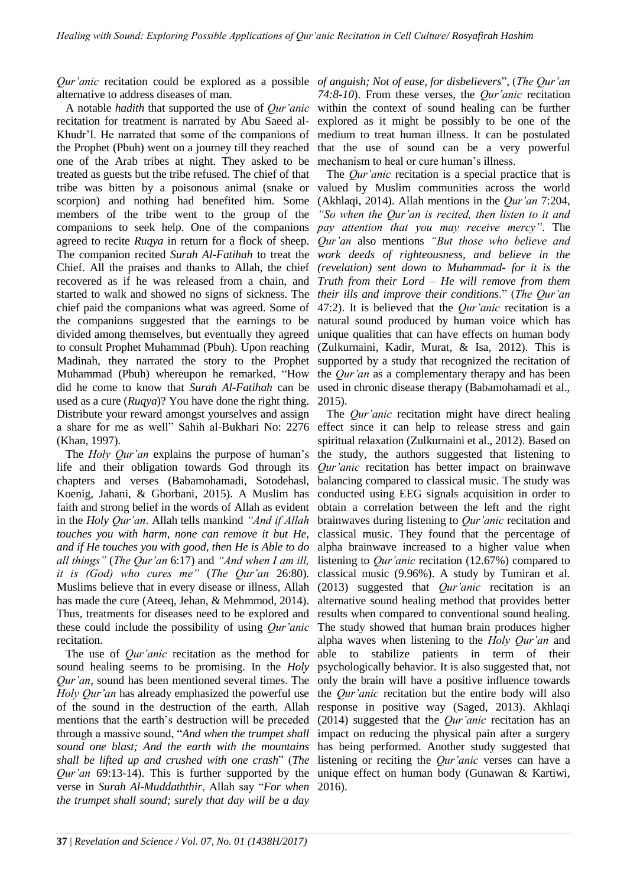alternative to address diseases of man.

A notable *hadith* that supported the use of *Qur'anic* recitation for treatment is narrated by Abu Saeed al-Khudr'I. He narrated that some of the companions of the Prophet (Pbuh) went on a journey till they reached one of the Arab tribes at night. They asked to be treated as guests but the tribe refused. The chief of that tribe was bitten by a poisonous animal (snake or scorpion) and nothing had benefited him. Some members of the tribe went to the group of the companions to seek help. One of the companions *pay attention that you may receive mercy"*. The agreed to recite *Ruqya* in return for a flock of sheep. The companion recited *Surah Al-Fatihah* to treat the Chief. All the praises and thanks to Allah, the chief recovered as if he was released from a chain, and started to walk and showed no signs of sickness. The chief paid the companions what was agreed. Some of the companions suggested that the earnings to be divided among themselves, but eventually they agreed to consult Prophet Muhammad (Pbuh). Upon reaching Madinah, they narrated the story to the Prophet Muhammad (Pbuh) whereupon he remarked, "How did he come to know that *Surah Al-Fatihah* can be used as a cure (*Ruqya*)? You have done the right thing. Distribute your reward amongst yourselves and assign a share for me as well" Sahih al-Bukhari No: 2276 (Khan, 1997).

The *Holy Qur'an* explains the purpose of human's life and their obligation towards God through its chapters and verses (Babamohamadi, Sotodehasl, Koenig, Jahani, & Ghorbani, 2015). A Muslim has faith and strong belief in the words of Allah as evident in the *Holy Qur'an*. Allah tells mankind *"And if Allah touches you with harm, none can remove it but He, and if He touches you with good, then He is Able to do all things"* (*The Qur'an* 6:17) and *"And when I am ill, it is (God) who cures me"* (*The Qur'an* 26:80). Muslims believe that in every disease or illness, Allah has made the cure (Ateeq, Jehan, & Mehmmod, 2014). Thus, treatments for diseases need to be explored and these could include the possibility of using *Qur'anic* recitation.

The use of *Qur'anic* recitation as the method for sound healing seems to be promising. In the *Holy Qur'an*, sound has been mentioned several times. The *Holy Qur'an* has already emphasized the powerful use of the sound in the destruction of the earth. Allah mentions that the earth's destruction will be preceded through a massive sound, "*And when the trumpet shall sound one blast; And the earth with the mountains shall be lifted up and crushed with one crash*" (*The Qur'an* 69:13-14). This is further supported by the verse in *Surah Al-Muddaththir*, Allah say "*For when the trumpet shall sound; surely that day will be a day* 

*Qur'anic* recitation could be explored as a possible *of anguish; Not of ease, for disbelievers*", (*The Qur'an 74:8-10*). From these verses, the *Qur'anic* recitation within the context of sound healing can be further explored as it might be possibly to be one of the medium to treat human illness. It can be postulated that the use of sound can be a very powerful mechanism to heal or cure human's illness.

> The *Qur'anic* recitation is a special practice that is valued by Muslim communities across the world (Akhlaqi, 2014). Allah mentions in the *Qur'an* 7:204, *"So when the Qur'an is recited, then listen to it and Qur'an* also mentions *"But those who believe and work deeds of righteousness, and believe in the (revelation) sent down to Muhammad- for it is the Truth from their Lord – He will remove from them their ills and improve their conditions*." (*The Qur'an*  47:2). It is believed that the *Qur'anic* recitation is a natural sound produced by human voice which has unique qualities that can have effects on human body (Zulkurnaini, Kadir, Murat, & Isa, 2012). This is supported by a study that recognized the recitation of the *Qur'an* as a complementary therapy and has been used in chronic disease therapy (Babamohamadi et al., 2015).

> The *Qur'anic* recitation might have direct healing effect since it can help to release stress and gain spiritual relaxation (Zulkurnaini et al., 2012). Based on the study, the authors suggested that listening to *Qur'anic* recitation has better impact on brainwave balancing compared to classical music. The study was conducted using EEG signals acquisition in order to obtain a correlation between the left and the right brainwaves during listening to *Qur'anic* recitation and classical music. They found that the percentage of alpha brainwave increased to a higher value when listening to *Qur'anic* recitation (12.67%) compared to classical music (9.96%). A study by Tumiran et al. (2013) suggested that *Qur'anic* recitation is an alternative sound healing method that provides better results when compared to conventional sound healing. The study showed that human brain produces higher alpha waves when listening to the *Holy Qur'an* and able to stabilize patients in term of their psychologically behavior. It is also suggested that, not only the brain will have a positive influence towards the *Qur'anic* recitation but the entire body will also response in positive way (Saged, 2013). Akhlaqi (2014) suggested that the *Qur'anic* recitation has an impact on reducing the physical pain after a surgery has being performed. Another study suggested that listening or reciting the *Qur'anic* verses can have a unique effect on human body (Gunawan & Kartiwi, 2016).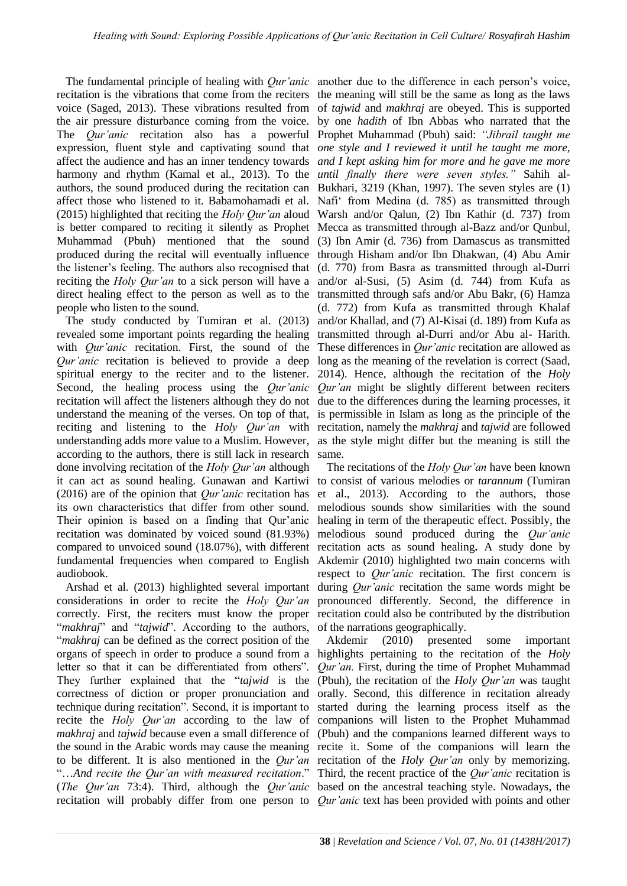recitation is the vibrations that come from the reciters the meaning will still be the same as long as the laws voice (Saged, 2013). These vibrations resulted from the air pressure disturbance coming from the voice. by one *hadith* of Ibn Abbas who narrated that the The *Qur'anic* recitation also has a powerful Prophet Muhammad (Pbuh) said: *"Jibrail taught me*  expression, fluent style and captivating sound that affect the audience and has an inner tendency towards harmony and rhythm (Kamal et al., 2013). To the authors, the sound produced during the recitation can affect those who listened to it. Babamohamadi et al. (2015) highlighted that reciting the *Holy Qur'an* aloud is better compared to reciting it silently as Prophet Mecca as transmitted through al-Bazz and/or Qunbul, Muhammad (Pbuh) mentioned that the sound produced during the recital will eventually influence the listener's feeling. The authors also recognised that reciting the *Holy Qur'an* to a sick person will have a direct healing effect to the person as well as to the people who listen to the sound.

The study conducted by Tumiran et al. (2013) revealed some important points regarding the healing with *Qur'anic* recitation. First, the sound of the *Qur'anic* recitation is believed to provide a deep long as the meaning of the revelation is correct (Saad, spiritual energy to the reciter and to the listener. Second, the healing process using the *Qur'anic Qur'an* might be slightly different between reciters recitation will affect the listeners although they do not understand the meaning of the verses. On top of that, is permissible in Islam as long as the principle of the reciting and listening to the *Holy Qur'an* with recitation, namely the *makhraj* and *tajwid* are followed understanding adds more value to a Muslim. However, as the style might differ but the meaning is still the according to the authors, there is still lack in research done involving recitation of the *Holy Qur'an* although it can act as sound healing. Gunawan and Kartiwi to consist of various melodies or *tarannum* (Tumiran (2016) are of the opinion that *Qur'anic* recitation has its own characteristics that differ from other sound. Their opinion is based on a finding that Qur'anic recitation was dominated by voiced sound (81.93%) compared to unvoiced sound (18.07%), with different recitation acts as sound healing**.** A study done by fundamental frequencies when compared to English Akdemir (2010) highlighted two main concerns with audiobook.

Arshad et al. (2013) highlighted several important considerations in order to recite the *Holy Qur'an* correctly. First, the reciters must know the proper "*makhraj*" and "*tajwid*". According to the authors, "*makhraj* can be defined as the correct position of the organs of speech in order to produce a sound from a highlights pertaining to the recitation of the *Holy*  letter so that it can be differentiated from others". They further explained that the "*tajwid* is the correctness of diction or proper pronunciation and technique during recitation". Second, it is important to recite the *Holy Qur'an* according to the law of *makhraj* and *tajwid* because even a small difference of the sound in the Arabic words may cause the meaning to be different. It is also mentioned in the *Qur'an* "…*And recite the Qur'an with measured recitation*." (*The Qur'an* 73:4). Third, although the *Qur'anic* based on the ancestral teaching style. Nowadays, the recitation will probably differ from one person to *Qur'anic* text has been provided with points and other

The fundamental principle of healing with *Qur'anic*  another due to the difference in each person's voice, of *tajwid* and *makhraj* are obeyed. This is supported *one style and I reviewed it until he taught me more, and I kept asking him for more and he gave me more until finally there were seven styles."* Sahih al-Bukhari, 3219 (Khan, 1997). The seven styles are (1) Nafi' from Medina (d. 785) as transmitted through Warsh and/or Qalun, (2) Ibn Kathir (d. 737) from (3) Ibn Amir (d. 736) from Damascus as transmitted through Hisham and/or Ibn Dhakwan, (4) Abu Amir (d. 770) from Basra as transmitted through al-Durri and/or al-Susi, (5) Asim (d. 744) from Kufa as transmitted through safs and/or Abu Bakr, (6) Hamza (d. 772) from Kufa as transmitted through Khalaf and/or Khallad, and (7) Al-Kisai (d. 189) from Kufa as transmitted through al-Durri and/or Abu al- Harith. These differences in *Qur'anic* recitation are allowed as 2014). Hence, although the recitation of the *Holy*  due to the differences during the learning processes, it same.

> The recitations of the *Holy Qur'an* have been known et al., 2013). According to the authors, those melodious sounds show similarities with the sound healing in term of the therapeutic effect. Possibly, the melodious sound produced during the *Qur'anic* respect to *Qur'anic* recitation. The first concern is during *Qur'anic* recitation the same words might be pronounced differently. Second, the difference in recitation could also be contributed by the distribution of the narrations geographically.

> Akdemir (2010) presented some important *Qur'an.* First, during the time of Prophet Muhammad (Pbuh), the recitation of the *Holy Qur'an* was taught orally. Second, this difference in recitation already started during the learning process itself as the companions will listen to the Prophet Muhammad (Pbuh) and the companions learned different ways to recite it. Some of the companions will learn the recitation of the *Holy Qur'an* only by memorizing. Third, the recent practice of the *Qur'anic* recitation is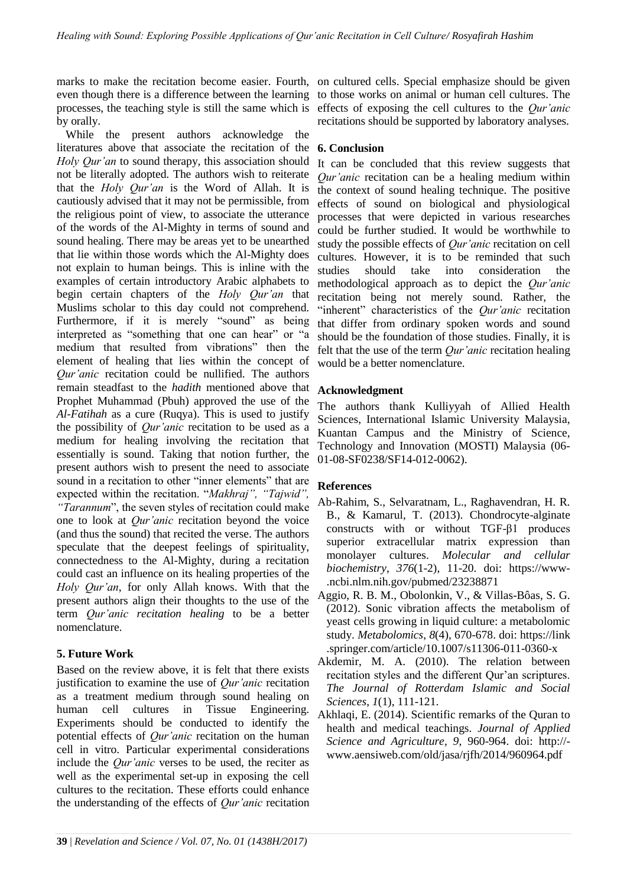processes, the teaching style is still the same which is by orally.

While the present authors acknowledge the literatures above that associate the recitation of the *Holy Qur'an* to sound therapy, this association should not be literally adopted. The authors wish to reiterate that the *Holy Qur'an* is the Word of Allah. It is cautiously advised that it may not be permissible, from the religious point of view, to associate the utterance of the words of the Al-Mighty in terms of sound and sound healing. There may be areas yet to be unearthed that lie within those words which the Al-Mighty does not explain to human beings. This is inline with the examples of certain introductory Arabic alphabets to begin certain chapters of the *Holy Qur'an* that Muslims scholar to this day could not comprehend. Furthermore, if it is merely "sound" as being interpreted as "something that one can hear" or "a medium that resulted from vibrations" then the element of healing that lies within the concept of *Qur'anic* recitation could be nullified. The authors remain steadfast to the *hadith* mentioned above that Prophet Muhammad (Pbuh) approved the use of the *Al-Fatihah* as a cure (Ruqya). This is used to justify the possibility of *Qur'anic* recitation to be used as a medium for healing involving the recitation that essentially is sound. Taking that notion further, the present authors wish to present the need to associate sound in a recitation to other "inner elements" that are expected within the recitation. "*Makhraj", "Tajwid", "Tarannum*", the seven styles of recitation could make one to look at *Qur'anic* recitation beyond the voice (and thus the sound) that recited the verse. The authors speculate that the deepest feelings of spirituality, connectedness to the Al-Mighty, during a recitation could cast an influence on its healing properties of the *Holy Qur'an*, for only Allah knows. With that the present authors align their thoughts to the use of the term *Qur'anic recitation healing* to be a better nomenclature.

### **5. Future Work**

Based on the review above, it is felt that there exists justification to examine the use of *Qur'anic* recitation as a treatment medium through sound healing on human cell cultures in Tissue Engineering. Experiments should be conducted to identify the potential effects of *Qur'anic* recitation on the human cell in vitro. Particular experimental considerations include the *Qur'anic* verses to be used, the reciter as well as the experimental set-up in exposing the cell cultures to the recitation. These efforts could enhance the understanding of the effects of *Qur'anic* recitation

marks to make the recitation become easier. Fourth, on cultured cells. Special emphasize should be given even though there is a difference between the learning to those works on animal or human cell cultures. The effects of exposing the cell cultures to the *Qur'anic*  recitations should be supported by laboratory analyses.

### **6. Conclusion**

It can be concluded that this review suggests that *Qur'anic* recitation can be a healing medium within the context of sound healing technique. The positive effects of sound on biological and physiological processes that were depicted in various researches could be further studied. It would be worthwhile to study the possible effects of *Qur'anic* recitation on cell cultures. However, it is to be reminded that such studies should take into consideration the methodological approach as to depict the *Qur'anic* recitation being not merely sound. Rather, the "inherent" characteristics of the *Qur'anic* recitation that differ from ordinary spoken words and sound should be the foundation of those studies. Finally, it is felt that the use of the term *Qur'anic* recitation healing would be a better nomenclature.

### **Acknowledgment**

The authors thank Kulliyyah of Allied Health Sciences, International Islamic University Malaysia, Kuantan Campus and the Ministry of Science, Technology and Innovation (MOSTI) Malaysia (06- 01-08-SF0238/SF14-012-0062).

### **References**

- Ab-Rahim, S., Selvaratnam, L., Raghavendran, H. R. B., & Kamarul, T. (2013). Chondrocyte-alginate constructs with or without TGF-β1 produces superior extracellular matrix expression than monolayer cultures. *Molecular and cellular biochemistry*, *376*(1-2), 11-20. doi: https://www- .ncbi.nlm.nih.gov/pubmed/23238871
- Aggio, R. B. M., Obolonkin, V., & Villas-Bôas, S. G. (2012). Sonic vibration affects the metabolism of yeast cells growing in liquid culture: a metabolomic study. *Metabolomics*, *8*(4), 670-678. doi: https://link .springer.com/article/10.1007/s11306-011-0360-x
- Akdemir, M. A. (2010). The relation between recitation styles and the different Qur'an scriptures. *The Journal of Rotterdam Islamic and Social Sciences*, *1*(1), 111-121.
- Akhlaqi, E. (2014). Scientific remarks of the Quran to health and medical teachings. *Journal of Applied Science and Agriculture*, *9*, 960-964. doi: http:// www.aensiweb.com/old/jasa/rjfh/2014/960964.pdf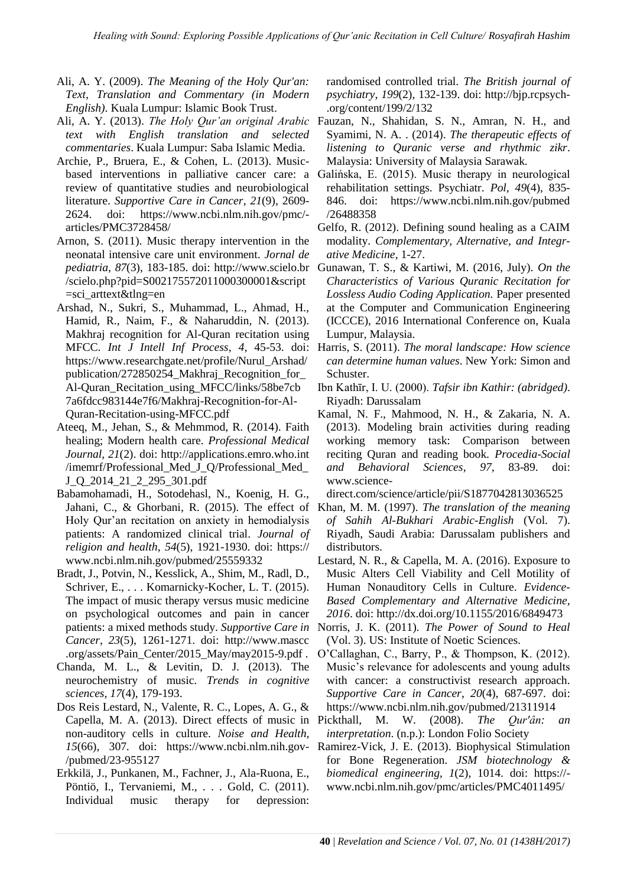- Ali, A. Y. (2009). *The Meaning of the Holy Qur'an: Text, Translation and Commentary (in Modern English)*. Kuala Lumpur: Islamic Book Trust.
- *text with English translation and selected commentaries*. Kuala Lumpur: Saba Islamic Media.
- Archie, P., Bruera, E., & Cohen, L. (2013). Musicbased interventions in palliative cancer care: a review of quantitative studies and neurobiological literature. *Supportive Care in Cancer*, *21*(9), 2609- 2624. doi: https://www.ncbi.nlm.nih.gov/pmc/ articles/PMC3728458/
- Arnon, S. (2011). Music therapy intervention in the neonatal intensive care unit environment. *Jornal de pediatria*, *87*(3), 183-185. doi: http://www.scielo.br /scielo.php?pid=S002175572011000300001&script =sci\_arttext&tlng=en
- Arshad, N., Sukri, S., Muhammad, L., Ahmad, H., Hamid, R., Naim, F., & Naharuddin, N. (2013). Makhraj recognition for Al-Quran recitation using MFCC. *Int J Intell Inf Process*, *4*, 45-53. doi: https://www.researchgate.net/profile/Nurul\_Arshad/ publication/272850254\_Makhraj\_Recognition\_for\_ Al-Quran\_Recitation\_using\_MFCC/links/58be7cb 7a6fdcc983144e7f6/Makhraj-Recognition-for-Al-Quran-Recitation-using-MFCC.pdf
- Ateeq, M., Jehan, S., & Mehmmod, R. (2014). Faith healing; Modern health care. *Professional Medical Journal*, *21*(2). doi: http://applications.emro.who.int /imemrf/Professional\_Med\_J\_Q/Professional\_Med\_ J\_Q\_2014\_21\_2\_295\_301.pdf
- Babamohamadi, H., Sotodehasl, N., Koenig, H. G., Jahani, C., & Ghorbani, R. (2015). The effect of Holy Qur'an recitation on anxiety in hemodialysis patients: A randomized clinical trial. *Journal of religion and health*, *54*(5), 1921-1930. doi: https:// www.ncbi.nlm.nih.gov/pubmed/25559332
- Bradt, J., Potvin, N., Kesslick, A., Shim, M., Radl, D., Schriver, E., . . . Komarnicky-Kocher, L. T. (2015). The impact of music therapy versus music medicine on psychological outcomes and pain in cancer patients: a mixed methods study. *Supportive Care in Cancer*, *23*(5), 1261-1271. doi: http://www.mascc .org/assets/Pain\_Center/2015\_May/may2015-9.pdf .
- Chanda, M. L., & Levitin, D. J. (2013). The neurochemistry of music. *Trends in cognitive sciences*, *17*(4), 179-193.
- Dos Reis Lestard, N., Valente, R. C., Lopes, A. G., & Capella, M. A. (2013). Direct effects of music in non-auditory cells in culture. *Noise and Health*, /pubmed/23-955127
- Erkkilä, J., Punkanen, M., Fachner, J., Ala-Ruona, E., Pöntiö, I., Tervaniemi, M., . . . Gold, C. (2011). Individual music therapy for depression:

randomised controlled trial. *The British journal of psychiatry*, *199*(2), 132-139. doi: http://bjp.rcpsych- .org/content/199/2/132

- Ali, A. Y. (2013). *The Holy Qur'an original Arabic*  Fauzan, N., Shahidan, S. N., Amran, N. H., and Syamimi, N. A. . (2014). *The therapeutic effects of listening to Quranic verse and rhythmic zikr*. Malaysia: University of Malaysia Sarawak.
	- Galińska, E. (2015). Music therapy in neurological rehabilitation settings. Psychiatr. *Pol*, *49*(4), 835- 846. doi: https://www.ncbi.nlm.nih.gov/pubmed /26488358
	- Gelfo, R. (2012). Defining sound healing as a CAIM modality. *Complementary, Alternative, and Integrative Medicine*, 1-27.
	- Gunawan, T. S., & Kartiwi, M. (2016, July). *On the Characteristics of Various Quranic Recitation for Lossless Audio Coding Application.* Paper presented at the Computer and Communication Engineering (ICCCE), 2016 International Conference on, Kuala Lumpur, Malaysia.
	- Harris, S. (2011). *The moral landscape: How science can determine human values*. New York: Simon and Schuster.
	- Ibn Kathīr, I. U. (2000). *Tafsir ibn Kathir: (abridged)*. Riyadh: Darussalam
	- Kamal, N. F., Mahmood, N. H., & Zakaria, N. A. (2013). Modeling brain activities during reading working memory task: Comparison between reciting Quran and reading book. *Procedia-Social and Behavioral Sciences*, *97*, 83-89. doi: www.science-

direct.com/science/article/pii/S1877042813036525

- Khan, M. M. (1997). *The translation of the meaning of Sahih Al-Bukhari Arabic-English* (Vol. 7). Riyadh, Saudi Arabia: Darussalam publishers and distributors.
- Lestard, N. R., & Capella, M. A. (2016). Exposure to Music Alters Cell Viability and Cell Motility of Human Nonauditory Cells in Culture. *Evidence-Based Complementary and Alternative Medicine, 2016*. doi: http://dx.doi.org/10.1155/2016/6849473
- Norris, J. K. (2011). *The Power of Sound to Heal* (Vol. 3). US: Institute of Noetic Sciences.
- O'Callaghan, C., Barry, P., & Thompson, K. (2012). Music's relevance for adolescents and young adults with cancer: a constructivist research approach. *Supportive Care in Cancer*, *20*(4), 687-697. doi: https://www.ncbi.nlm.nih.gov/pubmed/21311914
- Pickthall, M. W. (2008). *The Qur'ân: an interpretation*. (n.p.): London Folio Society
- *15*(66), 307. doi: https://www.ncbi.nlm.nih.gov- Ramirez-Vick, J. E. (2013). Biophysical Stimulation for Bone Regeneration. *JSM biotechnology & biomedical engineering*, *1*(2), 1014. doi: https:// www.ncbi.nlm.nih.gov/pmc/articles/PMC4011495/